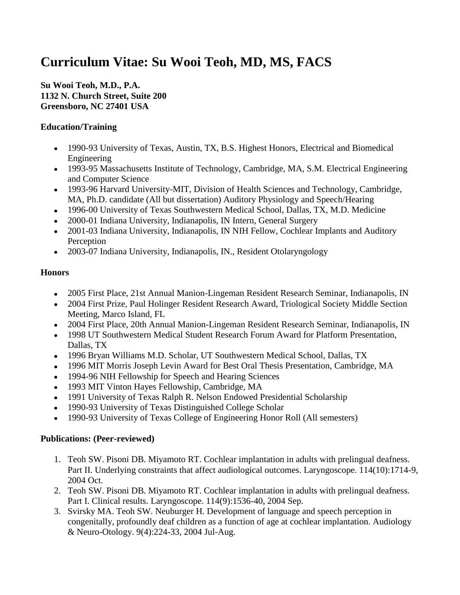# **Curriculum Vitae: Su Wooi Teoh, MD, MS, FACS**

**Su Wooi Teoh, M.D., P.A. 1132 N. Church Street, Suite 200 Greensboro, NC 27401 USA**

# **Education/Training**

- 1990-93 University of Texas, Austin, TX, B.S. Highest Honors, Electrical and Biomedical Engineering
- 1993-95 Massachusetts Institute of Technology, Cambridge, MA, S.M. Electrical Engineering and Computer Science
- 1993-96 Harvard University-MIT, Division of Health Sciences and Technology, Cambridge, MA, Ph.D. candidate (All but dissertation) Auditory Physiology and Speech/Hearing
- 1996-00 University of Texas Southwestern Medical School, Dallas, TX, M.D. Medicine
- 2000-01 Indiana University, Indianapolis, IN Intern, General Surgery
- 2001-03 Indiana University, Indianapolis, IN NIH Fellow, Cochlear Implants and Auditory Perception
- 2003-07 Indiana University, Indianapolis, IN., Resident Otolaryngology

# **Honors**

- 2005 First Place, 21st Annual Manion-Lingeman Resident Research Seminar, Indianapolis, IN
- 2004 First Prize, Paul Holinger Resident Research Award, Triological Society Middle Section Meeting, Marco Island, FL
- 2004 First Place, 20th Annual Manion-Lingeman Resident Research Seminar, Indianapolis, IN
- 1998 UT Southwestern Medical Student Research Forum Award for Platform Presentation, Dallas, TX
- 1996 Bryan Williams M.D. Scholar, UT Southwestern Medical School, Dallas, TX
- 1996 MIT Morris Joseph Levin Award for Best Oral Thesis Presentation, Cambridge, MA
- 1994-96 NIH Fellowship for Speech and Hearing Sciences
- 1993 MIT Vinton Hayes Fellowship, Cambridge, MA
- 1991 University of Texas Ralph R. Nelson Endowed Presidential Scholarship
- 1990-93 University of Texas Distinguished College Scholar
- 1990-93 University of Texas College of Engineering Honor Roll (All semesters)

# **Publications: (Peer-reviewed)**

- 1. Teoh SW. Pisoni DB. Miyamoto RT. Cochlear implantation in adults with prelingual deafness. Part II. Underlying constraints that affect audiological outcomes. Laryngoscope. 114(10):1714-9, 2004 Oct.
- 2. Teoh SW. Pisoni DB. Miyamoto RT. Cochlear implantation in adults with prelingual deafness. Part I. Clinical results. Laryngoscope. 114(9):1536-40, 2004 Sep.
- 3. Svirsky MA. Teoh SW. Neuburger H. Development of language and speech perception in congenitally, profoundly deaf children as a function of age at cochlear implantation. Audiology & Neuro-Otology. 9(4):224-33, 2004 Jul-Aug.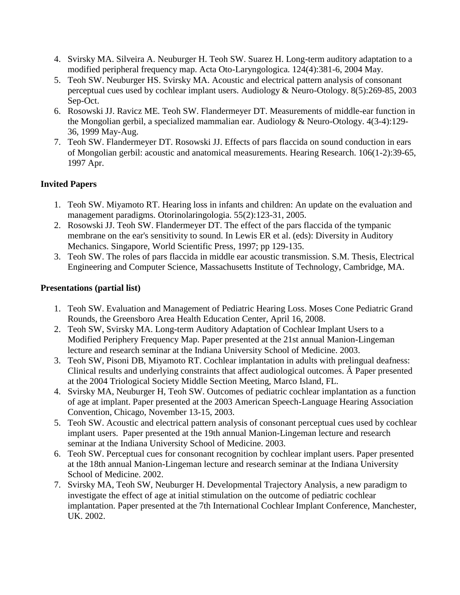- 4. Svirsky MA. Silveira A. Neuburger H. Teoh SW. Suarez H. Long-term auditory adaptation to a modified peripheral frequency map. Acta Oto-Laryngologica. 124(4):381-6, 2004 May.
- 5. Teoh SW. Neuburger HS. Svirsky MA. Acoustic and electrical pattern analysis of consonant perceptual cues used by cochlear implant users. Audiology & Neuro-Otology. 8(5):269-85, 2003 Sep-Oct.
- 6. Rosowski JJ. Ravicz ME. Teoh SW. Flandermeyer DT. Measurements of middle-ear function in the Mongolian gerbil, a specialized mammalian ear. Audiology & Neuro-Otology. 4(3-4):129- 36, 1999 May-Aug.
- 7. Teoh SW. Flandermeyer DT. Rosowski JJ. Effects of pars flaccida on sound conduction in ears of Mongolian gerbil: acoustic and anatomical measurements. Hearing Research. 106(1-2):39-65, 1997 Apr.

### **Invited Papers**

- 1. Teoh SW. Miyamoto RT. Hearing loss in infants and children: An update on the evaluation and management paradigms. Otorinolaringologia. 55(2):123-31, 2005.
- 2. Rosowski JJ. Teoh SW. Flandermeyer DT. The effect of the pars flaccida of the tympanic membrane on the ear's sensitivity to sound. In Lewis ER et al. (eds): Diversity in Auditory Mechanics. Singapore, World Scientific Press, 1997; pp 129-135.
- 3. Teoh SW. The roles of pars flaccida in middle ear acoustic transmission. S.M. Thesis, Electrical Engineering and Computer Science, Massachusetts Institute of Technology, Cambridge, MA.

#### **Presentations (partial list)**

- 1. Teoh SW. Evaluation and Management of Pediatric Hearing Loss. Moses Cone Pediatric Grand Rounds, the Greensboro Area Health Education Center, April 16, 2008.
- 2. Teoh SW, Svirsky MA. Long-term Auditory Adaptation of Cochlear Implant Users to a Modified Periphery Frequency Map. Paper presented at the 21st annual Manion-Lingeman lecture and research seminar at the Indiana University School of Medicine. 2003.
- 3. Teoh SW, Pisoni DB, Miyamoto RT. Cochlear implantation in adults with prelingual deafness: Clinical results and underlying constraints that affect audiological outcomes. Â Paper presented at the 2004 Triological Society Middle Section Meeting, Marco Island, FL.
- 4. Svirsky MA, Neuburger H, Teoh SW. Outcomes of pediatric cochlear implantation as a function of age at implant. Paper presented at the 2003 American Speech-Language Hearing Association Convention, Chicago, November 13-15, 2003.
- 5. Teoh SW. Acoustic and electrical pattern analysis of consonant perceptual cues used by cochlear implant users. Paper presented at the 19th annual Manion-Lingeman lecture and research seminar at the Indiana University School of Medicine. 2003.
- 6. Teoh SW. Perceptual cues for consonant recognition by cochlear implant users. Paper presented at the 18th annual Manion-Lingeman lecture and research seminar at the Indiana University School of Medicine. 2002.
- 7. Svirsky MA, Teoh SW, Neuburger H. Developmental Trajectory Analysis, a new paradigm to investigate the effect of age at initial stimulation on the outcome of pediatric cochlear implantation. Paper presented at the 7th International Cochlear Implant Conference, Manchester, UK. 2002.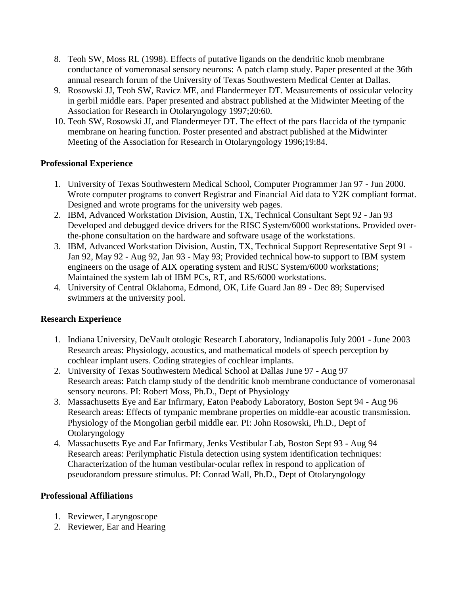- 8. Teoh SW, Moss RL (1998). Effects of putative ligands on the dendritic knob membrane conductance of vomeronasal sensory neurons: A patch clamp study. Paper presented at the 36th annual research forum of the University of Texas Southwestern Medical Center at Dallas.
- 9. Rosowski JJ, Teoh SW, Ravicz ME, and Flandermeyer DT. Measurements of ossicular velocity in gerbil middle ears. Paper presented and abstract published at the Midwinter Meeting of the Association for Research in Otolaryngology 1997;20:60.
- 10. Teoh SW, Rosowski JJ, and Flandermeyer DT. The effect of the pars flaccida of the tympanic membrane on hearing function. Poster presented and abstract published at the Midwinter Meeting of the Association for Research in Otolaryngology 1996;19:84.

### **Professional Experience**

- 1. University of Texas Southwestern Medical School, Computer Programmer Jan 97 Jun 2000. Wrote computer programs to convert Registrar and Financial Aid data to Y2K compliant format. Designed and wrote programs for the university web pages.
- 2. IBM, Advanced Workstation Division, Austin, TX, Technical Consultant Sept 92 Jan 93 Developed and debugged device drivers for the RISC System/6000 workstations. Provided overthe-phone consultation on the hardware and software usage of the workstations.
- 3. IBM, Advanced Workstation Division, Austin, TX, Technical Support Representative Sept 91 Jan 92, May 92 - Aug 92, Jan 93 - May 93; Provided technical how-to support to IBM system engineers on the usage of AIX operating system and RISC System/6000 workstations; Maintained the system lab of IBM PCs, RT, and RS/6000 workstations.
- 4. University of Central Oklahoma, Edmond, OK, Life Guard Jan 89 Dec 89; Supervised swimmers at the university pool.

# **Research Experience**

- 1. Indiana University, DeVault otologic Research Laboratory, Indianapolis July 2001 June 2003 Research areas: Physiology, acoustics, and mathematical models of speech perception by cochlear implant users. Coding strategies of cochlear implants.
- 2. University of Texas Southwestern Medical School at Dallas June 97 Aug 97 Research areas: Patch clamp study of the dendritic knob membrane conductance of vomeronasal sensory neurons. PI: Robert Moss, Ph.D., Dept of Physiology
- 3. Massachusetts Eye and Ear Infirmary, Eaton Peabody Laboratory, Boston Sept 94 Aug 96 Research areas: Effects of tympanic membrane properties on middle-ear acoustic transmission. Physiology of the Mongolian gerbil middle ear. PI: John Rosowski, Ph.D., Dept of Otolaryngology
- 4. Massachusetts Eye and Ear Infirmary, Jenks Vestibular Lab, Boston Sept 93 Aug 94 Research areas: Perilymphatic Fistula detection using system identification techniques: Characterization of the human vestibular-ocular reflex in respond to application of pseudorandom pressure stimulus. PI: Conrad Wall, Ph.D., Dept of Otolaryngology

#### **Professional Affiliations**

- 1. Reviewer, Laryngoscope
- 2. Reviewer, Ear and Hearing